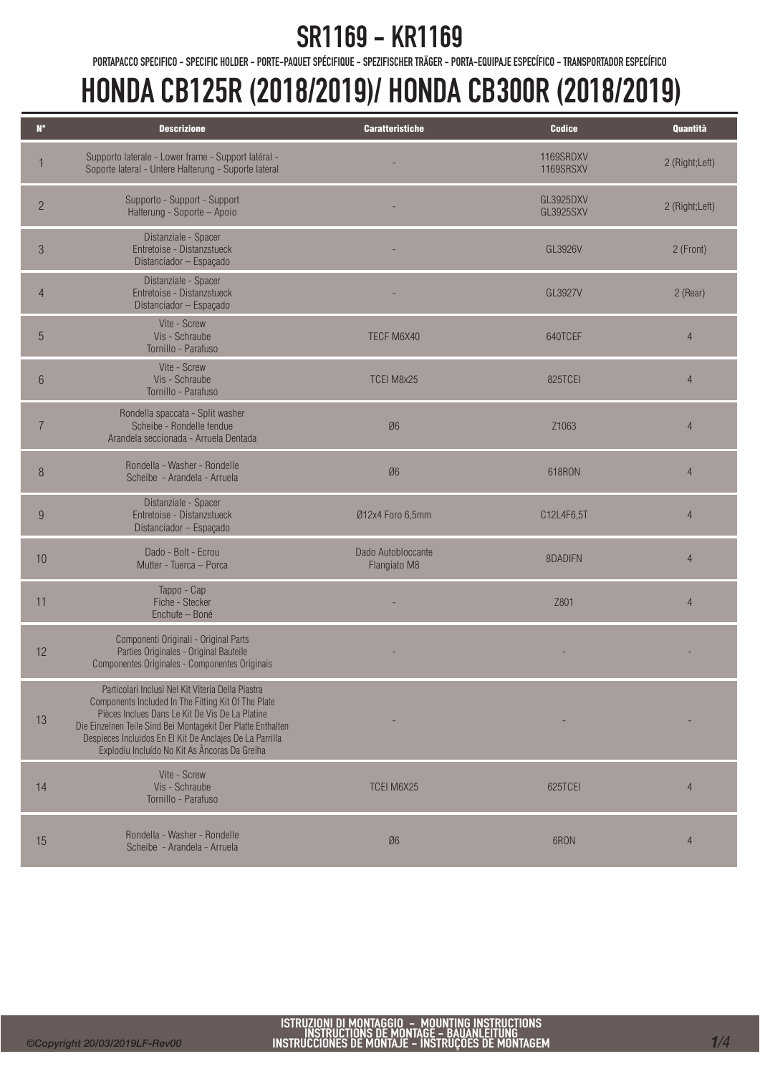PORTAPACCO SPECIFICO - SPECIFIC HOLDER - PORTE-PAQUET SPÉCIFIQUE - SPEZIFISCHER TRÄGER - PORTA-EQUIPAJE ESPECÍFICO - TRANSPORTADOR ESPECÍFICO

| $\mathbf{N}^\bullet$ | <b>Descrizione</b>                                                                                                                                                                                                                                                                                                                       | <b>Caratteristiche</b>             | <b>Codice</b>                        | Quantità       |
|----------------------|------------------------------------------------------------------------------------------------------------------------------------------------------------------------------------------------------------------------------------------------------------------------------------------------------------------------------------------|------------------------------------|--------------------------------------|----------------|
|                      | Supporto laterale - Lower frame - Support latéral -<br>Soporte lateral - Untere Halterung - Suporte lateral                                                                                                                                                                                                                              |                                    | 1169SRDXV<br>1169SRSXV               | 2 (Right;Left) |
| $\overline{c}$       | Supporto - Support - Support<br>Halterung - Soporte - Apoio                                                                                                                                                                                                                                                                              |                                    | <b>GL3925DXV</b><br><b>GL3925SXV</b> | 2 (Right;Left) |
| $\mathfrak{S}$       | Distanziale - Spacer<br>Entretoise - Distanzstueck<br>Distanciador - Espaçado                                                                                                                                                                                                                                                            |                                    | GL3926V                              | 2 (Front)      |
| $\overline{4}$       | Distanziale - Spacer<br>Entretoise - Distanzstueck<br>Distanciador - Espaçado                                                                                                                                                                                                                                                            |                                    | GL3927V                              | 2 (Rear)       |
| 5                    | Vite - Screw<br>Vis - Schraube<br>Tornillo - Parafuso                                                                                                                                                                                                                                                                                    | TECF M6X40                         | 640TCEF                              | $\overline{4}$ |
| $6\phantom{.}6$      | Vite - Screw<br>Vis - Schraube<br>Tornillo - Parafuso                                                                                                                                                                                                                                                                                    | TCEI M8x25                         | 825TCEI                              | $\overline{4}$ |
|                      | Rondella spaccata - Split washer<br>Scheibe - Rondelle fendue<br>Arandela seccionada - Arruela Dentada                                                                                                                                                                                                                                   | Ø6                                 | Z <sub>1063</sub>                    | $\overline{4}$ |
| 8                    | Rondella - Washer - Rondelle<br>Scheibe - Arandela - Arruela                                                                                                                                                                                                                                                                             | Ø6                                 | 618RON                               | $\overline{4}$ |
| 9                    | Distanziale - Spacer<br>Entretoise - Distanzstueck<br>Distanciador - Espaçado                                                                                                                                                                                                                                                            | Ø12x4 Foro 6,5mm                   | C12L4F6,5T                           | $\overline{4}$ |
| 10                   | Dado - Bolt - Ecrou<br>Mutter - Tuerca - Porca                                                                                                                                                                                                                                                                                           | Dado Autobloccante<br>Flangiato M8 | 8DADIFN                              | $\overline{4}$ |
| 11                   | Tappo - Cap<br>Fiche - Stecker<br>Enchufe - Boné                                                                                                                                                                                                                                                                                         |                                    | Z801                                 | $\overline{4}$ |
| 12                   | Componenti Originali - Original Parts<br>Parties Originales - Original Bauteile<br>Componentes Originales - Componentes Originais                                                                                                                                                                                                        |                                    |                                      |                |
| 13                   | Particolari Inclusi Nel Kit Viteria Della Piastra<br>Components Included In The Fitting Kit Of The Plate<br>Pièces Inclues Dans Le Kit De Vis De La Platine<br>Die Einzelnen Teile Sind Bei Montagekit Der Platte Enthalten<br>Despieces Incluidos En El Kit De Anclajes De La Parrilla<br>Explodiu Incluído No Kit As Âncoras Da Grelha |                                    |                                      |                |
| 14                   | Vite - Screw<br>Vis - Schraube<br>Tornillo - Parafuso                                                                                                                                                                                                                                                                                    | <b>TCEI M6X25</b>                  | 625TCEI                              | $\overline{4}$ |
| 15                   | Rondella - Washer - Rondelle<br>Scheibe - Arandela - Arruela                                                                                                                                                                                                                                                                             | Ø6                                 | 6RON                                 | $\overline{4}$ |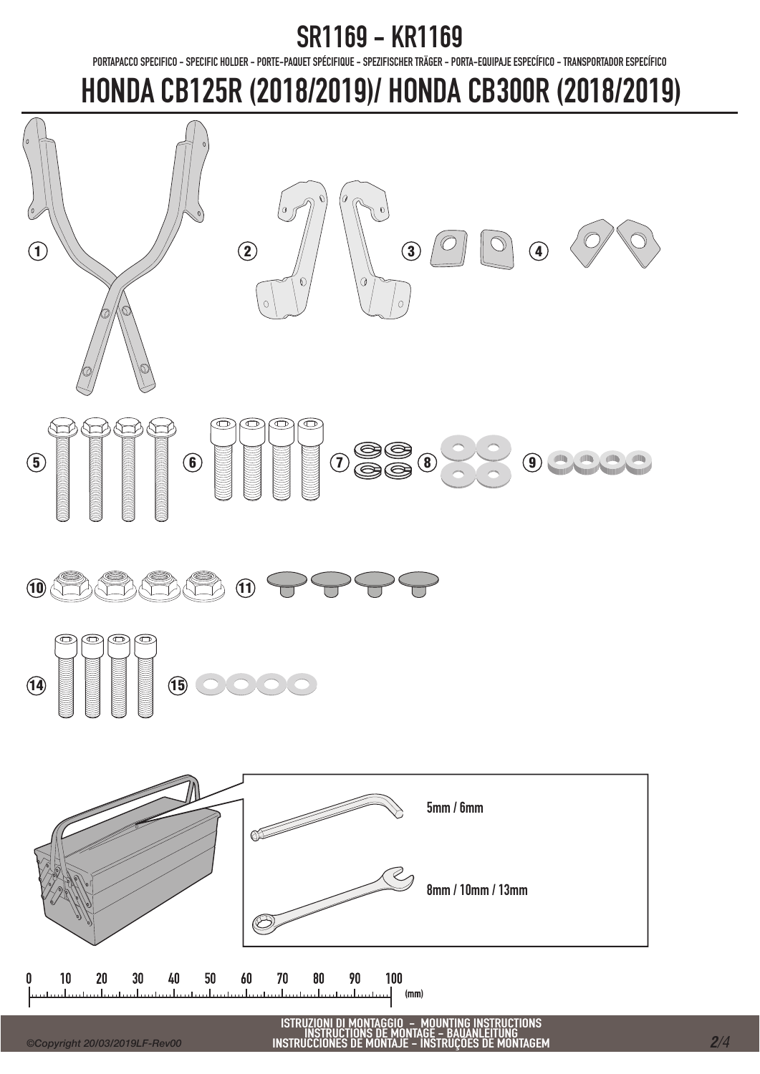PORTAPACCO SPECIFICO - SPECIFIC HOLDER - PORTE-PAQUET SPÉCIFIQUE - SPEZIFISCHER TRÄGER - PORTA-EQUIPAJE ESPECÍFICO - TRANSPORTADOR ESPECÍFICO

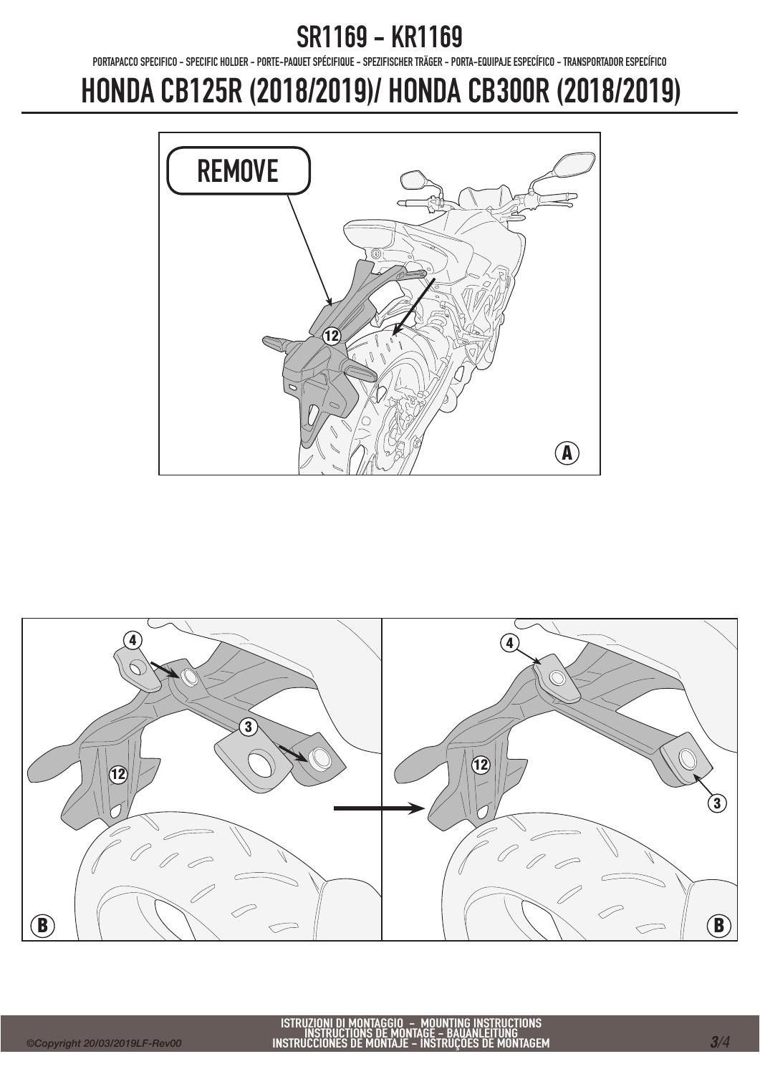PORTAPACCO SPECIFICO - SPECIFIC HOLDER - PORTE-PAQUET SPÉCIFIQUE - SPEZIFISCHER TRÄGER - PORTA-EQUIPAJE ESPECÍFICO - TRANSPORTADOR ESPECÍFICO